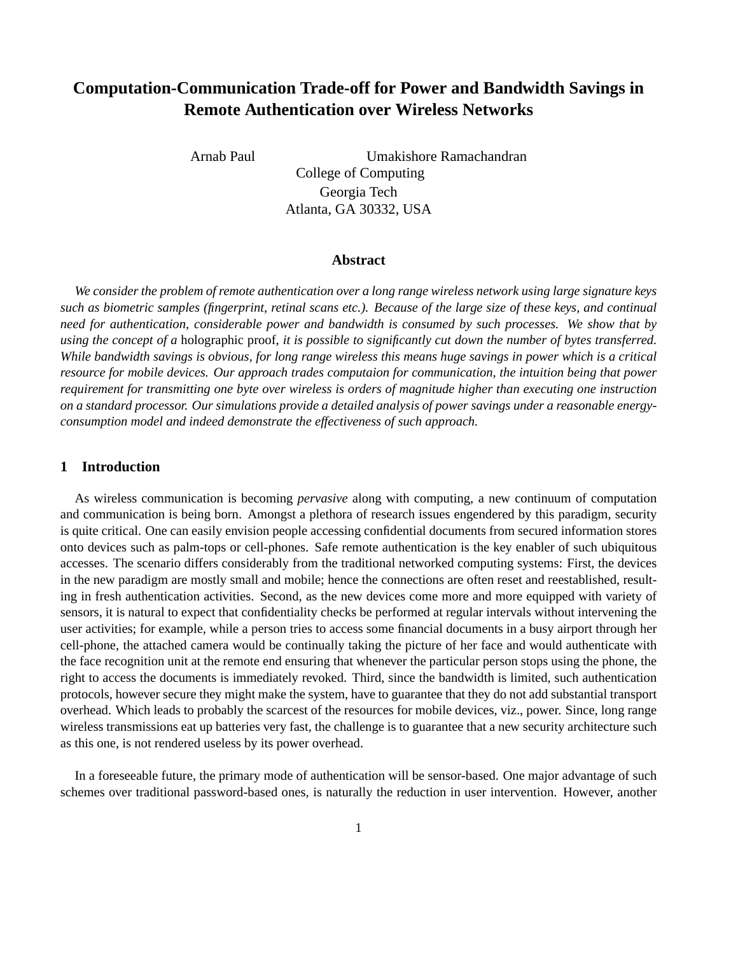# **Computation-Communication Trade-off for Power and Bandwidth Savings in Remote Authentication over Wireless Networks**

Arnab Paul Umakishore Ramachandran College of Computing Georgia Tech Atlanta, GA 30332, USA

#### **Abstract**

*We consider the problem of remote authentication over a long range wireless network using large signature keys such as biometric samples (fingerprint, retinal scans etc.). Because of the large size of these keys, and continual need for authentication, considerable power and bandwidth is consumed by such processes. We show that by using the concept of a* holographic proof*, it is possible to significantly cut down the number of bytes transferred. While bandwidth savings is obvious, for long range wireless this means huge savings in power which is a critical resource for mobile devices. Our approach trades computaion for communication, the intuition being that power requirement for transmitting one byte over wireless is orders of magnitude higher than executing one instruction on a standard processor. Our simulations provide a detailed analysis of power savings under a reasonable energyconsumption model and indeed demonstrate the effectiveness of such approach.*

#### **1 Introduction**

As wireless communication is becoming *pervasive* along with computing, a new continuum of computation and communication is being born. Amongst a plethora of research issues engendered by this paradigm, security is quite critical. One can easily envision people accessing confidential documents from secured information stores onto devices such as palm-tops or cell-phones. Safe remote authentication is the key enabler of such ubiquitous accesses. The scenario differs considerably from the traditional networked computing systems: First, the devices in the new paradigm are mostly small and mobile; hence the connections are often reset and reestablished, resulting in fresh authentication activities. Second, as the new devices come more and more equipped with variety of sensors, it is natural to expect that confidentiality checks be performed at regular intervals without intervening the user activities; for example, while a person tries to access some financial documents in a busy airport through her cell-phone, the attached camera would be continually taking the picture of her face and would authenticate with the face recognition unit at the remote end ensuring that whenever the particular person stops using the phone, the right to access the documents is immediately revoked. Third, since the bandwidth is limited, such authentication protocols, however secure they might make the system, have to guarantee that they do not add substantial transport overhead. Which leads to probably the scarcest of the resources for mobile devices, viz., power. Since, long range wireless transmissions eat up batteries very fast, the challenge is to guarantee that a new security architecture such as this one, is not rendered useless by its power overhead.

In a foreseeable future, the primary mode of authentication will be sensor-based. One major advantage of such schemes over traditional password-based ones, is naturally the reduction in user intervention. However, another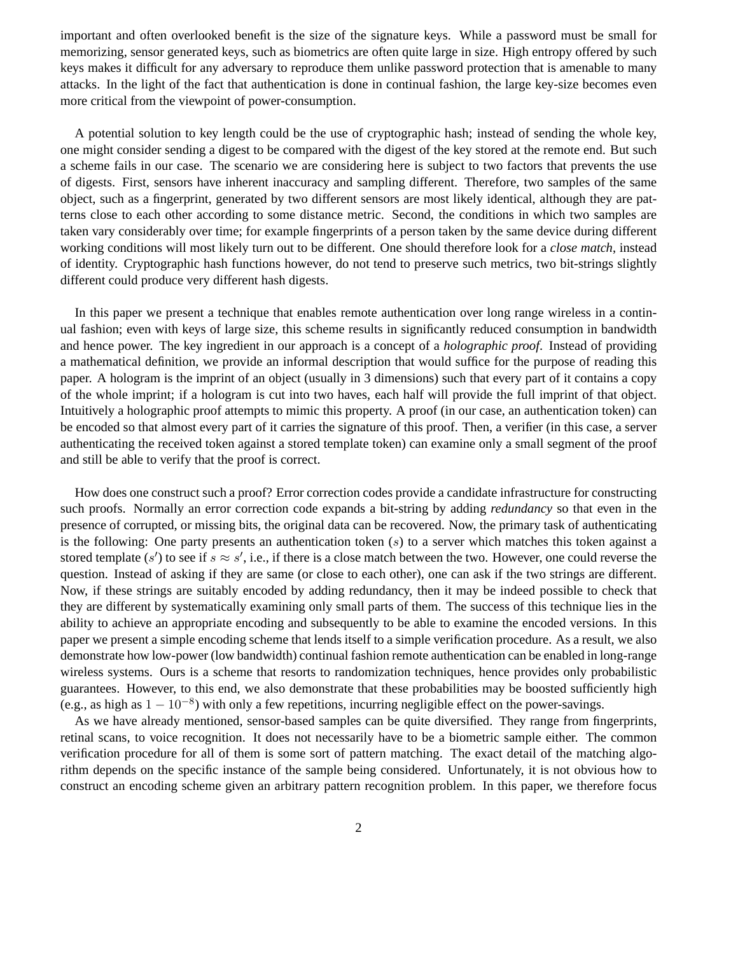important and often overlooked benefit is the size of the signature keys. While a password must be small for memorizing, sensor generated keys, such as biometrics are often quite large in size. High entropy offered by such keys makes it difficult for any adversary to reproduce them unlike password protection that is amenable to many attacks. In the light of the fact that authentication is done in continual fashion, the large key-size becomes even more critical from the viewpoint of power-consumption.

A potential solution to key length could be the use of cryptographic hash; instead of sending the whole key, one might consider sending a digest to be compared with the digest of the key stored at the remote end. But such a scheme fails in our case. The scenario we are considering here is subject to two factors that prevents the use of digests. First, sensors have inherent inaccuracy and sampling different. Therefore, two samples of the same object, such as a fingerprint, generated by two different sensors are most likely identical, although they are patterns close to each other according to some distance metric. Second, the conditions in which two samples are taken vary considerably over time; for example fingerprints of a person taken by the same device during different working conditions will most likely turn out to be different. One should therefore look for a *close match*, instead of identity. Cryptographic hash functions however, do not tend to preserve such metrics, two bit-strings slightly different could produce very different hash digests.

In this paper we present a technique that enables remote authentication over long range wireless in a continual fashion; even with keys of large size, this scheme results in significantly reduced consumption in bandwidth and hence power. The key ingredient in our approach is a concept of a *holographic proof*. Instead of providing a mathematical definition, we provide an informal description that would suffice for the purpose of reading this paper. A hologram is the imprint of an object (usually in 3 dimensions) such that every part of it contains a copy of the whole imprint; if a hologram is cut into two haves, each half will provide the full imprint of that object. Intuitively a holographic proof attempts to mimic this property. A proof (in our case, an authentication token) can be encoded so that almost every part of it carries the signature of this proof. Then, a verifier (in this case, a server authenticating the received token against a stored template token) can examine only a small segment of the proof and still be able to verify that the proof is correct.

How does one construct such a proof? Error correction codes provide a candidate infrastructure for constructing such proofs. Normally an error correction code expands a bit-string by adding *redundancy* so that even in the presence of corrupted, or missing bits, the original data can be recovered. Now, the primary task of authenticating is the following: One party presents an authentication token  $(s)$  to a server which matches this token against a stored template  $(s')$  to see if  $s \approx s'$ , i.e., if there is a close match between the two. However, one could reverse the question. Instead of asking if they are same (or close to each other), one can ask if the two strings are different. Now, if these strings are suitably encoded by adding redundancy, then it may be indeed possible to check that they are different by systematically examining only small parts of them. The success of this technique lies in the ability to achieve an appropriate encoding and subsequently to be able to examine the encoded versions. In this paper we present a simple encoding scheme that lends itself to a simple verification procedure. As a result, we also demonstrate how low-power (low bandwidth) continual fashion remote authentication can be enabled in long-range wireless systems. Ours is a scheme that resorts to randomization techniques, hence provides only probabilistic guarantees. However, to this end, we also demonstrate that these probabilities may be boosted sufficiently high (e.g., as high as  $1 - 10^{-8}$ ) with only a few repetitions, incurring negligible effect on the power-savings.

As we have already mentioned, sensor-based samples can be quite diversified. They range from fingerprints, retinal scans, to voice recognition. It does not necessarily have to be a biometric sample either. The common verification procedure for all of them is some sort of pattern matching. The exact detail of the matching algorithm depends on the specific instance of the sample being considered. Unfortunately, it is not obvious how to construct an encoding scheme given an arbitrary pattern recognition problem. In this paper, we therefore focus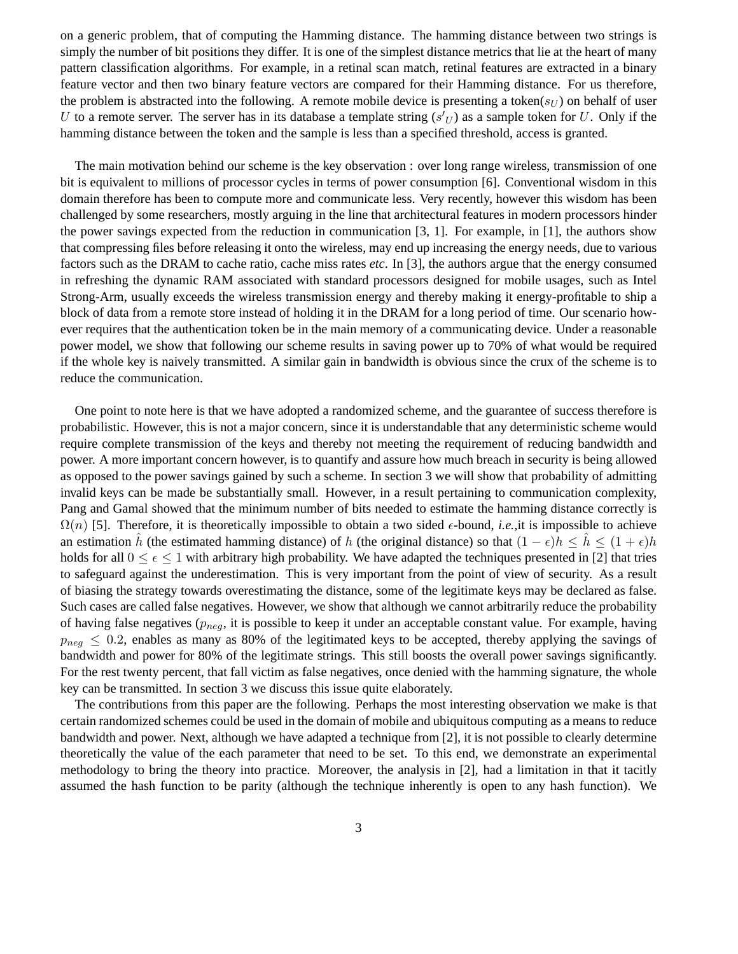on a generic problem, that of computing the Hamming distance. The hamming distance between two strings is simply the number of bit positions they differ. It is one of the simplest distance metrics that lie at the heart of many pattern classification algorithms. For example, in a retinal scan match, retinal features are extracted in a binary feature vector and then two binary feature vectors are compared for their Hamming distance. For us therefore, the problem is abstracted into the following. A remote mobile device is presenting a token( $s_{U}$ ) on behalf of user U to a remote server. The server has in its database a template string  $(s'_{U})$  as a sample token for U. Only if the hamming distance between the token and the sample is less than a specified threshold, access is granted.

The main motivation behind our scheme is the key observation : over long range wireless, transmission of one bit is equivalent to millions of processor cycles in terms of power consumption [6]. Conventional wisdom in this domain therefore has been to compute more and communicate less. Very recently, however this wisdom has been challenged by some researchers, mostly arguing in the line that architectural features in modern processors hinder the power savings expected from the reduction in communication [3, 1]. For example, in [1], the authors show that compressing files before releasing it onto the wireless, may end up increasing the energy needs, due to various factors such as the DRAM to cache ratio, cache miss rates *etc*. In [3], the authors argue that the energy consumed in refreshing the dynamic RAM associated with standard processors designed for mobile usages, such as Intel Strong-Arm, usually exceeds the wireless transmission energy and thereby making it energy-profitable to ship a block of data from a remote store instead of holding it in the DRAM for a long period of time. Our scenario however requires that the authentication token be in the main memory of a communicating device. Under a reasonable power model, we show that following our scheme results in saving power up to 70% of what would be required if the whole key is naively transmitted. A similar gain in bandwidth is obvious since the crux of the scheme is to reduce the communication.

One point to note here is that we have adopted a randomized scheme, and the guarantee of success therefore is probabilistic. However, this is not a major concern, since it is understandable that any deterministic scheme would require complete transmission of the keys and thereby not meeting the requirement of reducing bandwidth and power. A more important concern however, is to quantify and assure how much breach in security is being allowed as opposed to the power savings gained by such a scheme. In section 3 we will show that probability of admitting invalid keys can be made be substantially small. However, in a result pertaining to communication complexity, Pang and Gamal showed that the minimum number of bits needed to estimate the hamming distance correctly is  $\Omega(n)$  [5]. Therefore, it is theoretically impossible to obtain a two sided  $\epsilon$ -bound, *i.e.*, it is impossible to achieve an estimation h (the estimated hamming distance) of h (the original distance) so that  $(1 - \epsilon)h \leq h \leq (1 + \epsilon)h$ holds for all  $0 \le \epsilon \le 1$  with arbitrary high probability. We have adapted the techniques presented in [2] that tries to safeguard against the underestimation. This is very important from the point of view of security. As a result of biasing the strategy towards overestimating the distance, some of the legitimate keys may be declared as false. Such cases are called false negatives. However, we show that although we cannot arbitrarily reduce the probability of having false negatives ( $p_{neq}$ , it is possible to keep it under an acceptable constant value. For example, having  $p_{neg} \leq 0.2$ , enables as many as 80% of the legitimated keys to be accepted, thereby applying the savings of bandwidth and power for 80% of the legitimate strings. This still boosts the overall power savings significantly. For the rest twenty percent, that fall victim as false negatives, once denied with the hamming signature, the whole key can be transmitted. In section 3 we discuss this issue quite elaborately.

The contributions from this paper are the following. Perhaps the most interesting observation we make is that certain randomized schemes could be used in the domain of mobile and ubiquitous computing as a means to reduce bandwidth and power. Next, although we have adapted a technique from [2], it is not possible to clearly determine theoretically the value of the each parameter that need to be set. To this end, we demonstrate an experimental methodology to bring the theory into practice. Moreover, the analysis in [2], had a limitation in that it tacitly assumed the hash function to be parity (although the technique inherently is open to any hash function). We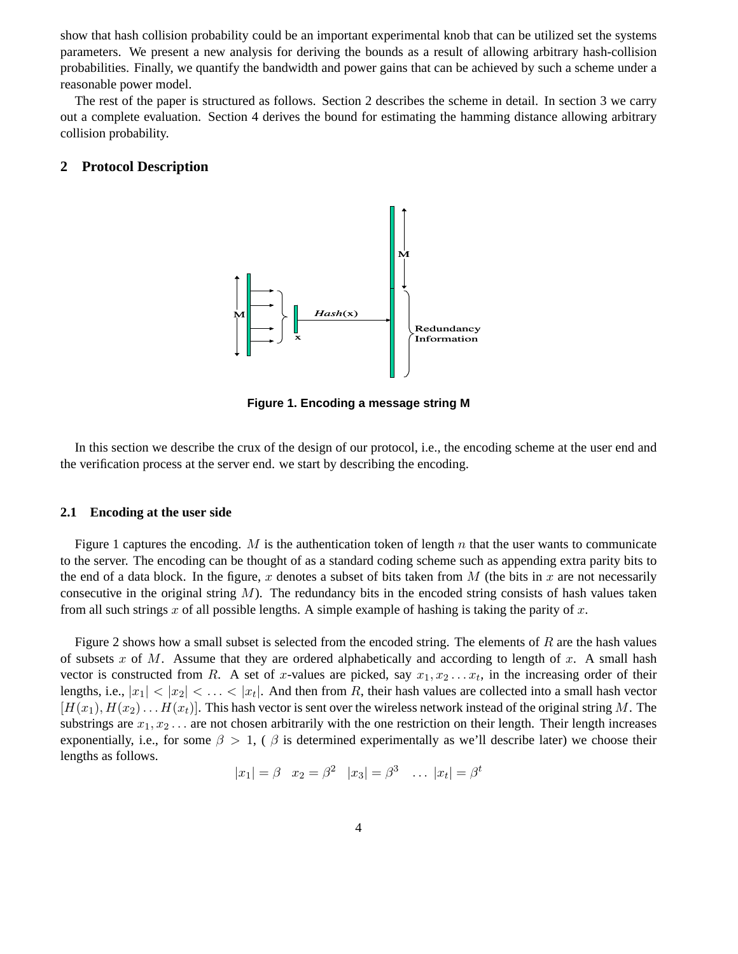show that hash collision probability could be an important experimental knob that can be utilized set the systems parameters. We present a new analysis for deriving the bounds as a result of allowing arbitrary hash-collision probabilities. Finally, we quantify the bandwidth and power gains that can be achieved by such a scheme under a reasonable power model.

The rest of the paper is structured as follows. Section 2 describes the scheme in detail. In section 3 we carry out a complete evaluation. Section 4 derives the bound for estimating the hamming distance allowing arbitrary collision probability.

### **2 Protocol Description**



**Figure 1. Encoding a message string M**

In this section we describe the crux of the design of our protocol, i.e., the encoding scheme at the user end and the verification process at the server end. we start by describing the encoding.

#### **2.1 Encoding at the user side**

Figure 1 captures the encoding. M is the authentication token of length n that the user wants to communicate to the server. The encoding can be thought of as a standard coding scheme such as appending extra parity bits to the end of a data block. In the figure, x denotes a subset of bits taken from  $M$  (the bits in x are not necessarily consecutive in the original string  $M$ ). The redundancy bits in the encoded string consists of hash values taken from all such strings x of all possible lengths. A simple example of hashing is taking the parity of x.

Figure 2 shows how a small subset is selected from the encoded string. The elements of  $R$  are the hash values of subsets x of M. Assume that they are ordered alphabetically and according to length of x. A small hash vector is constructed from R. A set of x-values are picked, say  $x_1, x_2 \ldots x_t$ , in the increasing order of their lengths, i.e.,  $|x_1| < |x_2| < \ldots < |x_t|$ . And then from R, their hash values are collected into a small hash vector  $[H(x_1), H(x_2), \ldots, H(x_t)]$ . This hash vector is sent over the wireless network instead of the original string M. The substrings are  $x_1, x_2, \ldots$  are not chosen arbitrarily with the one restriction on their length. Their length increases exponentially, i.e., for some  $\beta > 1$ , ( $\beta$  is determined experimentally as we'll describe later) we choose their lengths as follows.

$$
|x_1| = \beta
$$
  $x_2 = \beta^2$   $|x_3| = \beta^3$  ...  $|x_t| = \beta^t$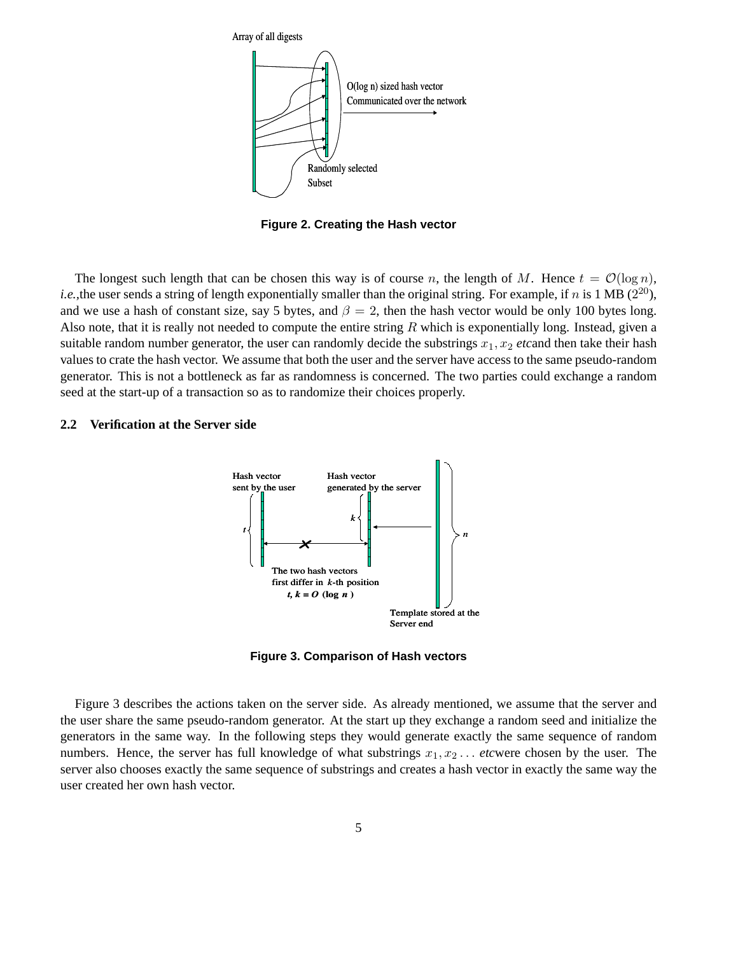

**Figure 2. Creating the Hash vector**

The longest such length that can be chosen this way is of course n, the length of M. Hence  $t = \mathcal{O}(\log n)$ , *i.e.*, the user sends a string of length exponentially smaller than the original string. For example, if n is 1 MB  $(2^{20})$ , and we use a hash of constant size, say 5 bytes, and  $\beta = 2$ , then the hash vector would be only 100 bytes long. Also note, that it is really not needed to compute the entire string R which is exponentially long. Instead, given a suitable random number generator, the user can randomly decide the substrings  $x_1, x_2$  *etcand* then take their hash values to crate the hash vector. We assume that both the user and the server have access to the same pseudo-random generator. This is not a bottleneck as far as randomness is concerned. The two parties could exchange a random seed at the start-up of a transaction so as to randomize their choices properly.

### **2.2 Verification at the Server side**



**Figure 3. Comparison of Hash vectors**

Figure 3 describes the actions taken on the server side. As already mentioned, we assume that the server and the user share the same pseudo-random generator. At the start up they exchange a random seed and initialize the generators in the same way. In the following steps they would generate exactly the same sequence of random numbers. Hence, the server has full knowledge of what substrings  $x_1, x_2, \ldots$  *etcwere chosen by the user.* The server also chooses exactly the same sequence of substrings and creates a hash vector in exactly the same way the user created her own hash vector.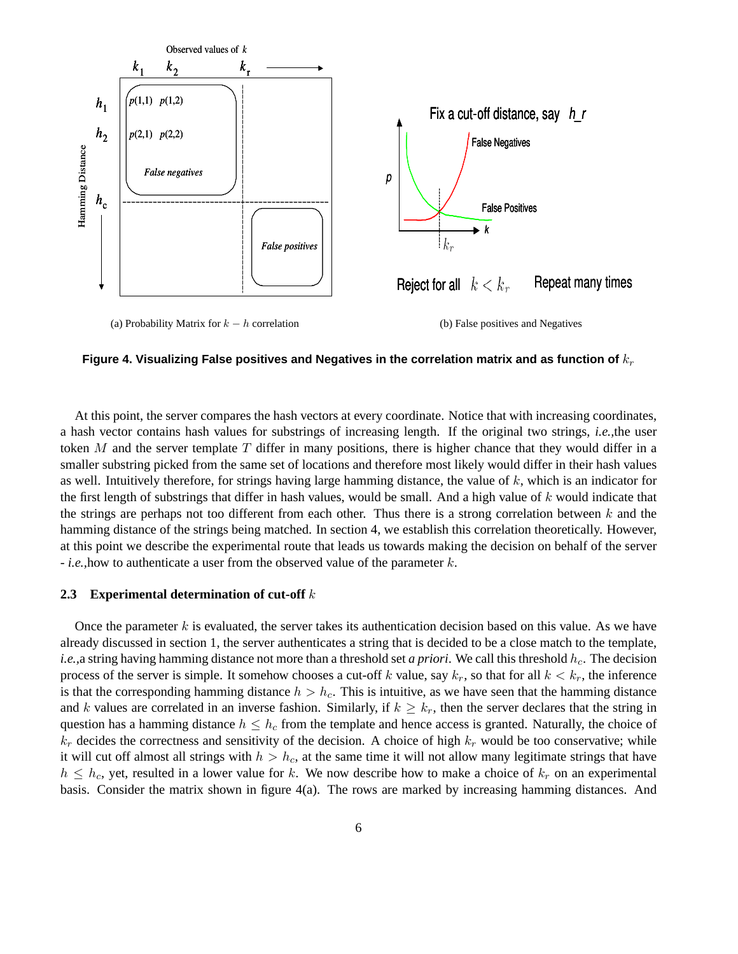

Figure 4. Visualizing False positives and Negatives in the correlation matrix and as function of  $k_r$ 

At this point, the server compares the hash vectors at every coordinate. Notice that with increasing coordinates, a hash vector contains hash values for substrings of increasing length. If the original two strings, *i.e.,*the user token M and the server template T differ in many positions, there is higher chance that they would differ in a smaller substring picked from the same set of locations and therefore most likely would differ in their hash values as well. Intuitively therefore, for strings having large hamming distance, the value of k, which is an indicator for the first length of substrings that differ in hash values, would be small. And a high value of  $k$  would indicate that the strings are perhaps not too different from each other. Thus there is a strong correlation between  $k$  and the hamming distance of the strings being matched. In section 4, we establish this correlation theoretically. However, at this point we describe the experimental route that leads us towards making the decision on behalf of the server - *i.e.,*how to authenticate a user from the observed value of the parameter k.

### **2.3 Experimental determination of cut-off** k

Once the parameter  $k$  is evaluated, the server takes its authentication decision based on this value. As we have already discussed in section 1, the server authenticates a string that is decided to be a close match to the template, *i.e.*, a string having hamming distance not more than a threshold set *a priori*. We call this threshold  $h_c$ . The decision process of the server is simple. It somehow chooses a cut-off k value, say  $k_r$ , so that for all  $k < k_r$ , the inference is that the corresponding hamming distance  $h > h_c$ . This is intuitive, as we have seen that the hamming distance and k values are correlated in an inverse fashion. Similarly, if  $k \geq k_r$ , then the server declares that the string in question has a hamming distance  $h \leq h_c$  from the template and hence access is granted. Naturally, the choice of  $k_r$  decides the correctness and sensitivity of the decision. A choice of high  $k_r$  would be too conservative; while it will cut off almost all strings with  $h > h_c$ , at the same time it will not allow many legitimate strings that have  $h \leq h_c$ , yet, resulted in a lower value for k. We now describe how to make a choice of  $k_r$  on an experimental basis. Consider the matrix shown in figure 4(a). The rows are marked by increasing hamming distances. And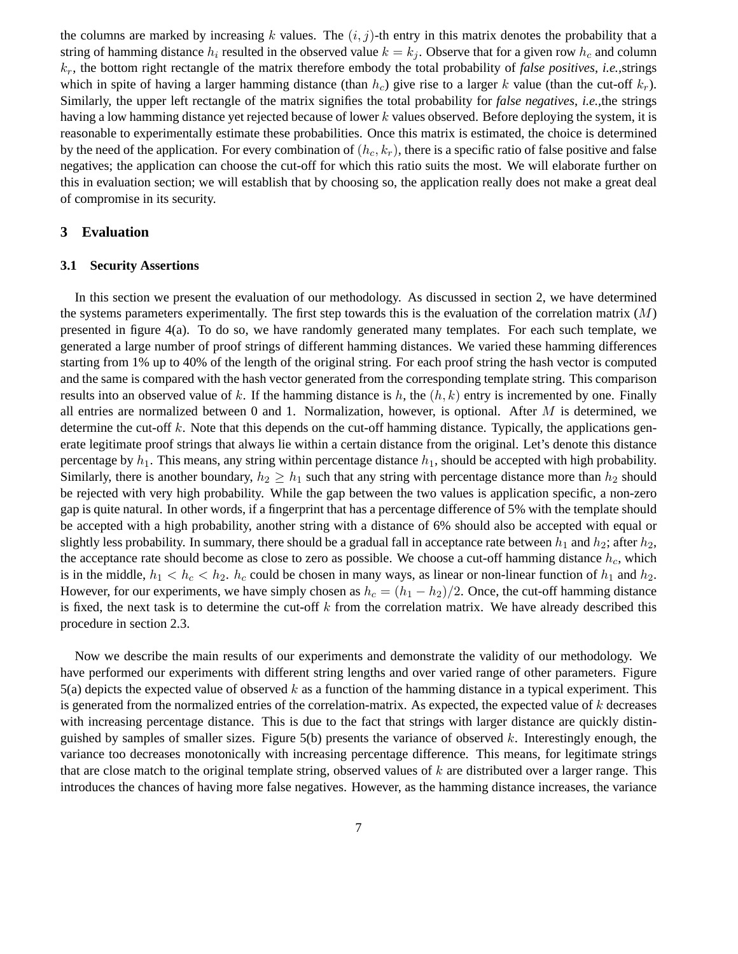the columns are marked by increasing k values. The  $(i, j)$ -th entry in this matrix denotes the probability that a string of hamming distance  $h_i$  resulted in the observed value  $k = k_j$ . Observe that for a given row  $h_c$  and column kr, the bottom right rectangle of the matrix therefore embody the total probability of *false positives*, *i.e.,*strings which in spite of having a larger hamming distance (than  $h_c$ ) give rise to a larger k value (than the cut-off  $k_r$ ). Similarly, the upper left rectangle of the matrix signifies the total probability for *false negatives*, *i.e.,*the strings having a low hamming distance yet rejected because of lower k values observed. Before deploying the system, it is reasonable to experimentally estimate these probabilities. Once this matrix is estimated, the choice is determined by the need of the application. For every combination of  $(h_c, k_r)$ , there is a specific ratio of false positive and false negatives; the application can choose the cut-off for which this ratio suits the most. We will elaborate further on this in evaluation section; we will establish that by choosing so, the application really does not make a great deal of compromise in its security.

### **3 Evaluation**

#### **3.1 Security Assertions**

In this section we present the evaluation of our methodology. As discussed in section 2, we have determined the systems parameters experimentally. The first step towards this is the evaluation of the correlation matrix  $(M)$ presented in figure 4(a). To do so, we have randomly generated many templates. For each such template, we generated a large number of proof strings of different hamming distances. We varied these hamming differences starting from 1% up to 40% of the length of the original string. For each proof string the hash vector is computed and the same is compared with the hash vector generated from the corresponding template string. This comparison results into an observed value of k. If the hamming distance is h, the  $(h, k)$  entry is incremented by one. Finally all entries are normalized between 0 and 1. Normalization, however, is optional. After  $M$  is determined, we determine the cut-off k. Note that this depends on the cut-off hamming distance. Typically, the applications generate legitimate proof strings that always lie within a certain distance from the original. Let's denote this distance percentage by  $h_1$ . This means, any string within percentage distance  $h_1$ , should be accepted with high probability. Similarly, there is another boundary,  $h_2 \geq h_1$  such that any string with percentage distance more than  $h_2$  should be rejected with very high probability. While the gap between the two values is application specific, a non-zero gap is quite natural. In other words, if a fingerprint that has a percentage difference of 5% with the template should be accepted with a high probability, another string with a distance of 6% should also be accepted with equal or slightly less probability. In summary, there should be a gradual fall in acceptance rate between  $h_1$  and  $h_2$ ; after  $h_2$ , the acceptance rate should become as close to zero as possible. We choose a cut-off hamming distance  $h_c$ , which is in the middle,  $h_1 < h_c < h_2$ .  $h_c$  could be chosen in many ways, as linear or non-linear function of  $h_1$  and  $h_2$ . However, for our experiments, we have simply chosen as  $h_c = (h_1 - h_2)/2$ . Once, the cut-off hamming distance is fixed, the next task is to determine the cut-off  $k$  from the correlation matrix. We have already described this procedure in section 2.3.

Now we describe the main results of our experiments and demonstrate the validity of our methodology. We have performed our experiments with different string lengths and over varied range of other parameters. Figure  $5(a)$  depicts the expected value of observed k as a function of the hamming distance in a typical experiment. This is generated from the normalized entries of the correlation-matrix. As expected, the expected value of  $k$  decreases with increasing percentage distance. This is due to the fact that strings with larger distance are quickly distinguished by samples of smaller sizes. Figure  $5(b)$  presents the variance of observed k. Interestingly enough, the variance too decreases monotonically with increasing percentage difference. This means, for legitimate strings that are close match to the original template string, observed values of  $k$  are distributed over a larger range. This introduces the chances of having more false negatives. However, as the hamming distance increases, the variance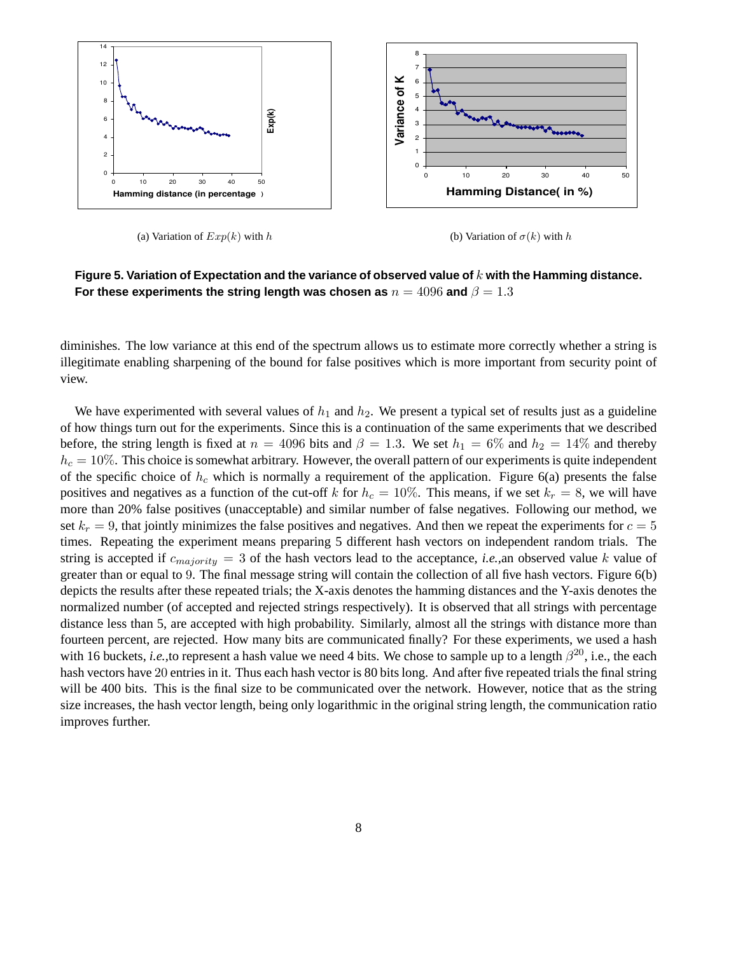

(a) Variation of  $Exp(k)$  with h

(b) Variation of  $\sigma(k)$  with h



diminishes. The low variance at this end of the spectrum allows us to estimate more correctly whether a string is illegitimate enabling sharpening of the bound for false positives which is more important from security point of view.

We have experimented with several values of  $h_1$  and  $h_2$ . We present a typical set of results just as a guideline of how things turn out for the experiments. Since this is a continuation of the same experiments that we described before, the string length is fixed at  $n = 4096$  bits and  $\beta = 1.3$ . We set  $h_1 = 6\%$  and  $h_2 = 14\%$  and thereby  $h_c = 10\%$ . This choice is somewhat arbitrary. However, the overall pattern of our experiments is quite independent of the specific choice of  $h_c$  which is normally a requirement of the application. Figure 6(a) presents the false positives and negatives as a function of the cut-off k for  $h_c = 10\%$ . This means, if we set  $k_r = 8$ , we will have more than 20% false positives (unacceptable) and similar number of false negatives. Following our method, we set  $k_r = 9$ , that jointly minimizes the false positives and negatives. And then we repeat the experiments for  $c = 5$ times. Repeating the experiment means preparing 5 different hash vectors on independent random trials. The string is accepted if  $c_{majority} = 3$  of the hash vectors lead to the acceptance, *i.e.*, an observed value k value of greater than or equal to 9. The final message string will contain the collection of all five hash vectors. Figure 6(b) depicts the results after these repeated trials; the X-axis denotes the hamming distances and the Y-axis denotes the normalized number (of accepted and rejected strings respectively). It is observed that all strings with percentage distance less than 5, are accepted with high probability. Similarly, almost all the strings with distance more than fourteen percent, are rejected. How many bits are communicated finally? For these experiments, we used a hash with 16 buckets, *i.e.*, to represent a hash value we need 4 bits. We chose to sample up to a length  $\beta^{20}$ , i.e., the each hash vectors have 20 entries in it. Thus each hash vector is 80 bits long. And after five repeated trials the final string will be 400 bits. This is the final size to be communicated over the network. However, notice that as the string size increases, the hash vector length, being only logarithmic in the original string length, the communication ratio improves further.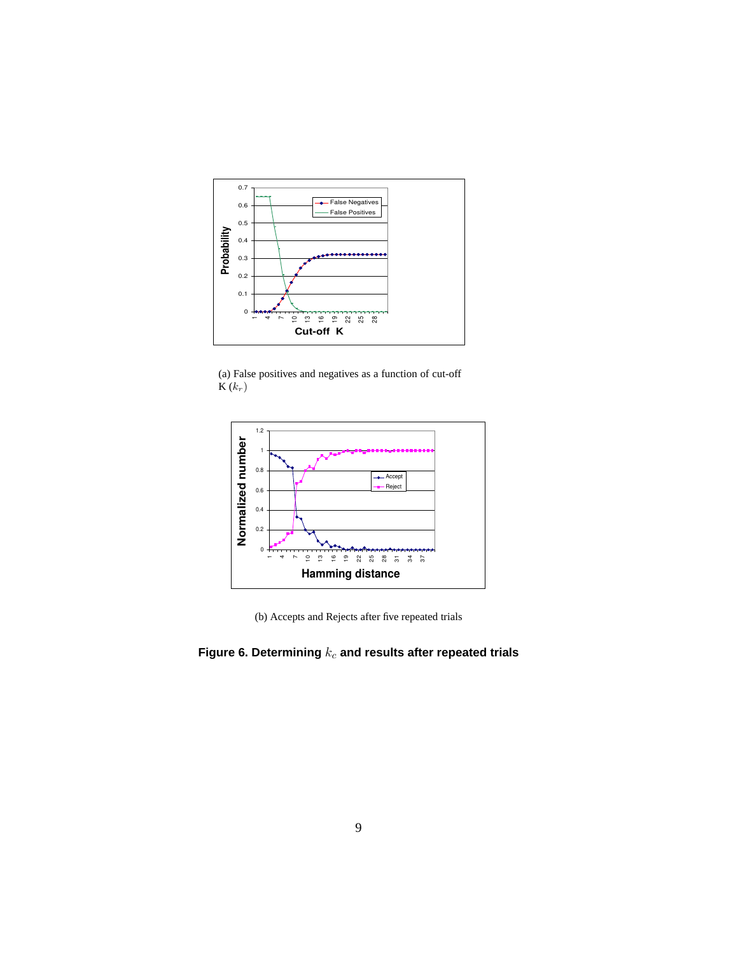

(a) False positives and negatives as a function of cut-off  $\overline{\mathbf{K}}(k_r)$ 



(b) Accepts and Rejects after five repeated trials

## Figure 6. Determining  $k_c$  and results after repeated trials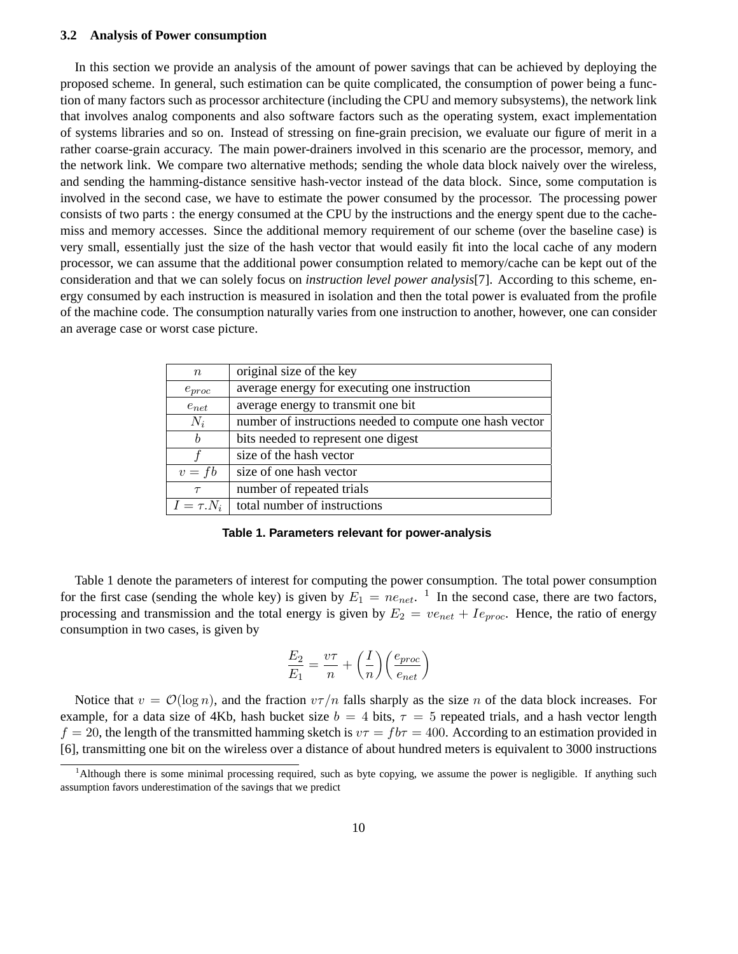#### **3.2 Analysis of Power consumption**

In this section we provide an analysis of the amount of power savings that can be achieved by deploying the proposed scheme. In general, such estimation can be quite complicated, the consumption of power being a function of many factors such as processor architecture (including the CPU and memory subsystems), the network link that involves analog components and also software factors such as the operating system, exact implementation of systems libraries and so on. Instead of stressing on fine-grain precision, we evaluate our figure of merit in a rather coarse-grain accuracy. The main power-drainers involved in this scenario are the processor, memory, and the network link. We compare two alternative methods; sending the whole data block naively over the wireless, and sending the hamming-distance sensitive hash-vector instead of the data block. Since, some computation is involved in the second case, we have to estimate the power consumed by the processor. The processing power consists of two parts : the energy consumed at the CPU by the instructions and the energy spent due to the cachemiss and memory accesses. Since the additional memory requirement of our scheme (over the baseline case) is very small, essentially just the size of the hash vector that would easily fit into the local cache of any modern processor, we can assume that the additional power consumption related to memory/cache can be kept out of the consideration and that we can solely focus on *instruction level power analysis*[7]. According to this scheme, energy consumed by each instruction is measured in isolation and then the total power is evaluated from the profile of the machine code. The consumption naturally varies from one instruction to another, however, one can consider an average case or worst case picture.

| $\, n$         | original size of the key                                 |
|----------------|----------------------------------------------------------|
| $e_{proc}$     | average energy for executing one instruction             |
| $e_{net}$      | average energy to transmit one bit                       |
| $N_i$          | number of instructions needed to compute one hash vector |
| b              | bits needed to represent one digest                      |
|                | size of the hash vector                                  |
| $v = fb$       | size of one hash vector                                  |
| $\tau$         | number of repeated trials                                |
| $I = \tau N_i$ | total number of instructions                             |

**Table 1. Parameters relevant for power-analysis**

Table 1 denote the parameters of interest for computing the power consumption. The total power consumption for the first case (sending the whole key) is given by  $E_1 = ne_{net}$ . <sup>1</sup> In the second case, there are two factors, processing and transmission and the total energy is given by  $E_2 = v e_{net} + I e_{proc}$ . Hence, the ratio of energy consumption in two cases, is given by

$$
\frac{E_2}{E_1} = \frac{v\tau}{n} + \left(\frac{I}{n}\right) \left(\frac{e_{proc}}{e_{net}}\right)
$$

Notice that  $v = \mathcal{O}(\log n)$ , and the fraction  $v\tau/n$  falls sharply as the size n of the data block increases. For example, for a data size of 4Kb, hash bucket size  $b = 4$  bits,  $\tau = 5$  repeated trials, and a hash vector length  $f = 20$ , the length of the transmitted hamming sketch is  $v\tau = f b\tau = 400$ . According to an estimation provided in [6], transmitting one bit on the wireless over a distance of about hundred meters is equivalent to 3000 instructions

<sup>&</sup>lt;sup>1</sup>Although there is some minimal processing required, such as byte copying, we assume the power is negligible. If anything such assumption favors underestimation of the savings that we predict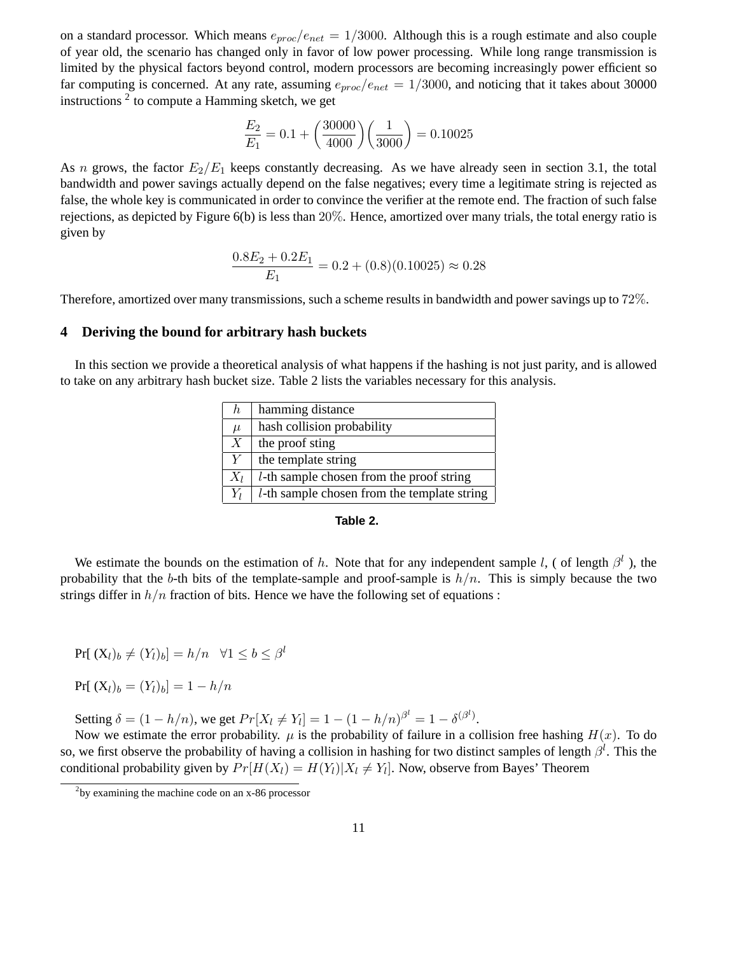on a standard processor. Which means  $e_{proc}/e_{net} = 1/3000$ . Although this is a rough estimate and also couple of year old, the scenario has changed only in favor of low power processing. While long range transmission is limited by the physical factors beyond control, modern processors are becoming increasingly power efficient so far computing is concerned. At any rate, assuming  $e_{proc}/e_{net} = 1/3000$ , and noticing that it takes about 30000 instructions  $2$  to compute a Hamming sketch, we get

$$
\frac{E_2}{E_1} = 0.1 + \left(\frac{30000}{4000}\right)\left(\frac{1}{3000}\right) = 0.10025
$$

As n grows, the factor  $E_2/E_1$  keeps constantly decreasing. As we have already seen in section 3.1, the total bandwidth and power savings actually depend on the false negatives; every time a legitimate string is rejected as false, the whole key is communicated in order to convince the verifier at the remote end. The fraction of such false rejections, as depicted by Figure 6(b) is less than 20%. Hence, amortized over many trials, the total energy ratio is given by

$$
\frac{0.8E_2 + 0.2E_1}{E_1} = 0.2 + (0.8)(0.10025) \approx 0.28
$$

Therefore, amortized over many transmissions, such a scheme results in bandwidth and power savings up to 72%.

### **4 Deriving the bound for arbitrary hash buckets**

In this section we provide a theoretical analysis of what happens if the hashing is not just parity, and is allowed to take on any arbitrary hash bucket size. Table 2 lists the variables necessary for this analysis.

| h           | hamming distance                                    |
|-------------|-----------------------------------------------------|
| $\mu$       | hash collision probability                          |
| $X_{\cdot}$ | the proof sting                                     |
| Y           | the template string                                 |
| $X_l$       | <i>l</i> -th sample chosen from the proof string    |
| $Y_l$       | <i>l</i> -th sample chosen from the template string |

#### **Table 2.**

We estimate the bounds on the estimation of h. Note that for any independent sample l, (of length  $\beta^l$ ), the probability that the b-th bits of the template-sample and proof-sample is  $h/n$ . This is simply because the two strings differ in  $h/n$  fraction of bits. Hence we have the following set of equations :

$$
Pr[(X_l)_b \neq (Y_l)_b] = h/n \quad \forall 1 \leq b \leq \beta^l
$$

$$
Pr[(X_l)_b = (Y_l)_b] = 1 - h/n
$$

Setting  $\delta = (1 - h/n)$ , we get  $Pr[X_l \neq Y_l] = 1 - (1 - h/n)^{\beta^l} = 1 - \delta^{(\beta^l)}$ .

Now we estimate the error probability.  $\mu$  is the probability of failure in a collision free hashing  $H(x)$ . To do so, we first observe the probability of having a collision in hashing for two distinct samples of length  $\beta^l$ . This the conditional probability given by  $Pr[H(X_l) = H(Y_l)|X_l \neq Y_l]$ . Now, observe from Bayes' Theorem

 $2$ by examining the machine code on an x-86 processor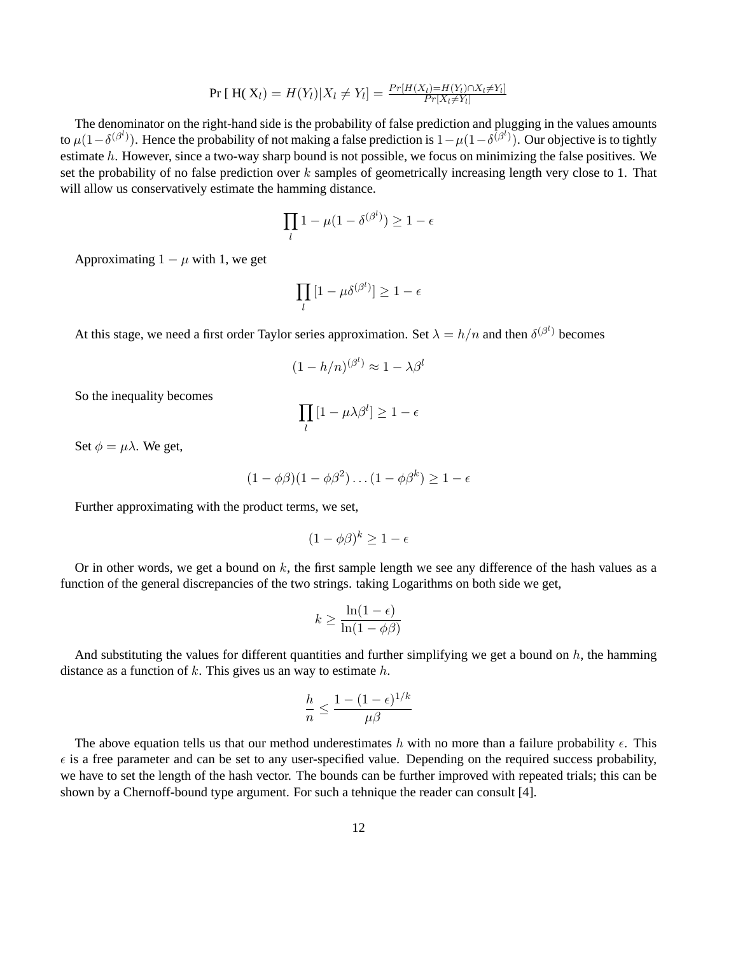$$
\Pr [ H(X_l) = H(Y_l) | X_l \neq Y_l ] = \frac{Pr[H(X_l) = H(Y_l) \cap X_l \neq Y_l]}{Pr[X_l \neq Y_l]}
$$

The denominator on the right-hand side is the probability of false prediction and plugging in the values amounts to  $\mu(1-\delta^{(\beta^l)})$ . Hence the probability of not making a false prediction is  $1-\mu(1-\delta^{(\beta^l)})$ . Our objective is to tightly estimate h. However, since a two-way sharp bound is not possible, we focus on minimizing the false positives. We set the probability of no false prediction over  $k$  samples of geometrically increasing length very close to 1. That will allow us conservatively estimate the hamming distance.

$$
\prod_l 1 - \mu(1-\delta^{(\beta^l)}) \geq 1-\epsilon
$$

Approximating  $1 - \mu$  with 1, we get

$$
\prod_l \left[1 - \mu \delta^{(\beta^l)}\right] \geq 1 - \epsilon
$$

At this stage, we need a first order Taylor series approximation. Set  $\lambda = h/n$  and then  $\delta^{(\beta^l)}$  becomes

$$
(1 - h/n)^{(\beta^l)} \approx 1 - \lambda \beta^l
$$

So the inequality becomes

$$
\prod_l \left[1 - \mu \lambda \beta^l\right] \geq 1 - \epsilon
$$

Set  $\phi = \mu \lambda$ . We get,

$$
(1 - \phi\beta)(1 - \phi\beta^2)\dots(1 - \phi\beta^k) \ge 1 - \epsilon
$$

Further approximating with the product terms, we set,

$$
(1 - \phi \beta)^k \ge 1 - \epsilon
$$

Or in other words, we get a bound on  $k$ , the first sample length we see any difference of the hash values as a function of the general discrepancies of the two strings. taking Logarithms on both side we get,

$$
k \ge \frac{\ln(1 - \epsilon)}{\ln(1 - \phi \beta)}
$$

And substituting the values for different quantities and further simplifying we get a bound on  $h$ , the hamming distance as a function of  $k$ . This gives us an way to estimate  $h$ .

$$
\frac{h}{n} \le \frac{1-(1-\epsilon)^{1/k}}{\mu\beta}
$$

The above equation tells us that our method underestimates h with no more than a failure probability  $\epsilon$ . This  $\epsilon$  is a free parameter and can be set to any user-specified value. Depending on the required success probability, we have to set the length of the hash vector. The bounds can be further improved with repeated trials; this can be shown by a Chernoff-bound type argument. For such a tehnique the reader can consult [4].